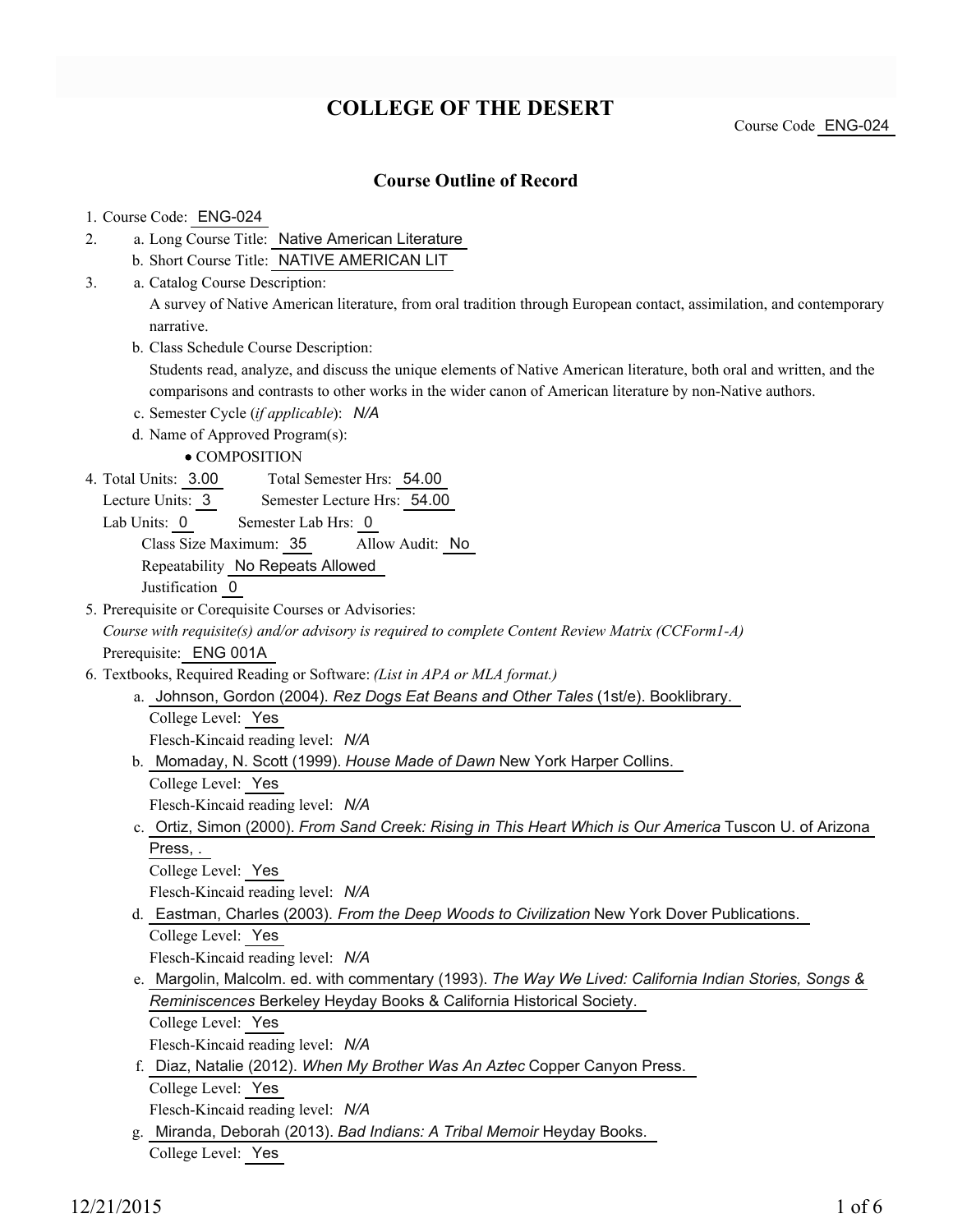# **COLLEGE OF THE DESERT**

Course Code ENG-024

### **Course Outline of Record**

#### 1. Course Code: ENG-024

- a. Long Course Title: Native American Literature 2.
	- b. Short Course Title: NATIVE AMERICAN LIT
- Catalog Course Description: a. 3.

A survey of Native American literature, from oral tradition through European contact, assimilation, and contemporary narrative.

b. Class Schedule Course Description:

Students read, analyze, and discuss the unique elements of Native American literature, both oral and written, and the comparisons and contrasts to other works in the wider canon of American literature by non-Native authors.

- c. Semester Cycle (*if applicable*): *N/A*
- d. Name of Approved Program(s):

• COMPOSITION

- Total Semester Hrs: 54.00 4. Total Units: 3.00
	- Lecture Units: 3 Semester Lecture Hrs: 54.00
	- Lab Units: 0 Semester Lab Hrs: 0

Class Size Maximum: 35 Allow Audit: No Repeatability No Repeats Allowed

Justification 0

- 5. Prerequisite or Corequisite Courses or Advisories: *Course with requisite(s) and/or advisory is required to complete Content Review Matrix (CCForm1-A)* Prerequisite: ENG 001A
- Textbooks, Required Reading or Software: *(List in APA or MLA format.)* 6.
	- a. Johnson, Gordon (2004). *Rez Dogs Eat Beans and Other Tales* (1st/e). Booklibrary.

College Level: Yes

Flesch-Kincaid reading level: *N/A*

- b. Momaday, N. Scott (1999). House Made of Dawn New York Harper Collins.
	- College Level: Yes

Flesch-Kincaid reading level: *N/A*

c. Ortiz, Simon (2000). *From Sand Creek: Rising in This Heart Which is Our America* Tuscon U. of Arizona Press, .

```
College Level: Yes
```
Flesch-Kincaid reading level: *N/A*

Eastman, Charles (2003). *From the Deep Woods to Civilization* New York Dover Publications. d. College Level: Yes

Flesch-Kincaid reading level: *N/A*

Margolin, Malcolm. ed. with commentary (1993). *The Way We Lived: California Indian Stories, Songs &* e. *Reminiscences* Berkeley Heyday Books & California Historical Society. College Level: Yes

Flesch-Kincaid reading level: *N/A*

- f. Diaz, Natalie (2012). When My Brother Was An Aztec Copper Canyon Press. College Level: Yes Flesch-Kincaid reading level: *N/A*
- Miranda, Deborah (2013). *Bad Indians: A Tribal Memoir* Heyday Books. g. College Level: Yes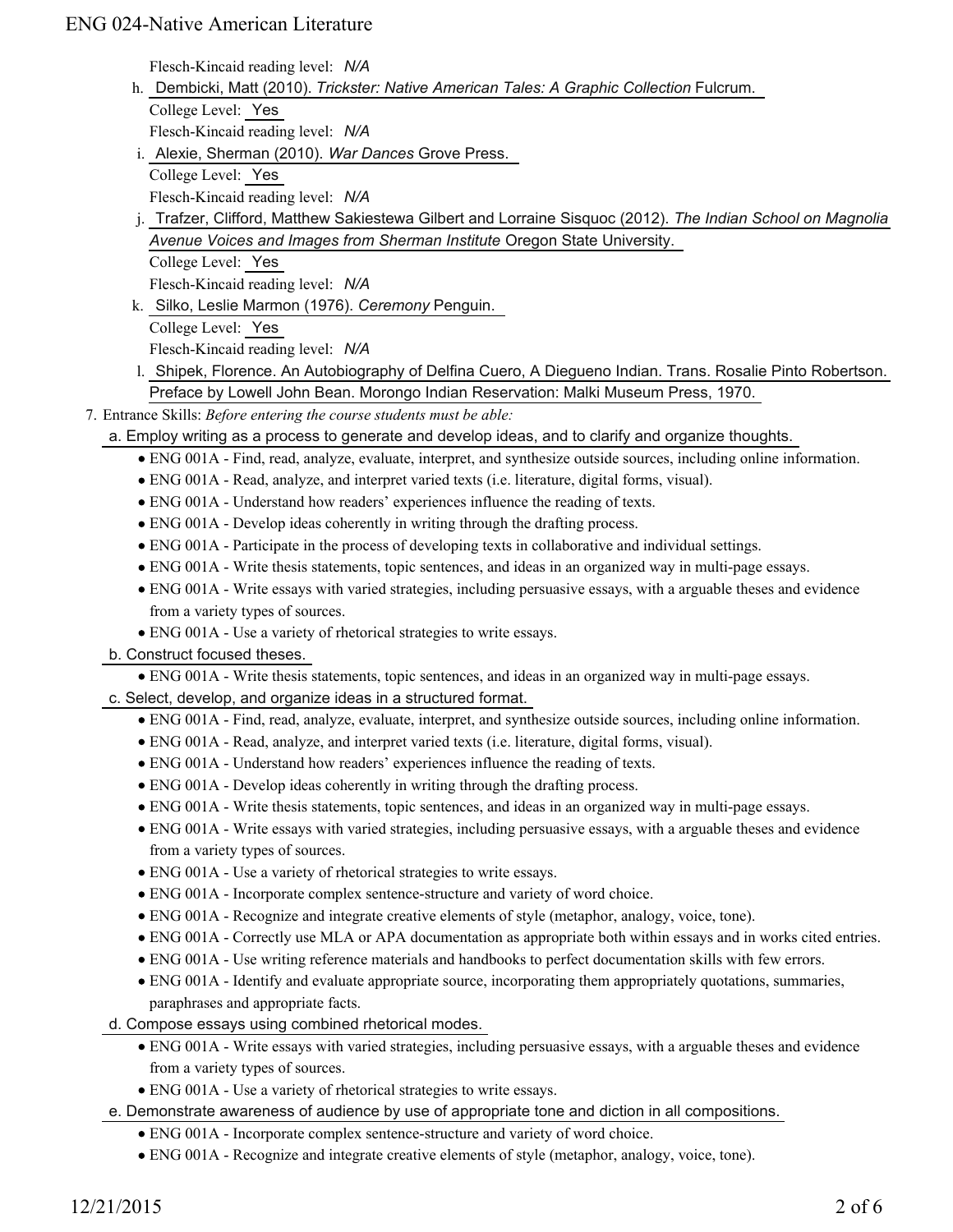Flesch-Kincaid reading level: *N/A*

h. Dembicki, Matt (2010). *Trickster: Native American Tales: A Graphic Collection* Fulcrum. College Level: Yes

Flesch-Kincaid reading level: *N/A*

- i. Alexie, Sherman (2010). War Dances Grove Press.
	- College Level: Yes

Flesch-Kincaid reading level: *N/A*

j. Trafzer, Clifford, Matthew Sakiestewa Gilbert and Lorraine Sisquoc (2012). *The Indian School on Magnolia Avenue Voices and Images from Sherman Institute* Oregon State University. College Level: Yes

Flesch-Kincaid reading level: *N/A*

k. Silko, Leslie Marmon (1976). Ceremony Penguin. College Level: Yes

Flesch-Kincaid reading level: *N/A*

- 1. Shipek, Florence. An Autobiography of Delfina Cuero, A Diegueno Indian. Trans. Rosalie Pinto Robertson. Preface by Lowell John Bean. Morongo Indian Reservation: Malki Museum Press, 1970.
- Entrance Skills: *Before entering the course students must be able:* 7.
	- a. Employ writing as a process to generate and develop ideas, and to clarify and organize thoughts.
		- ENG 001A Find, read, analyze, evaluate, interpret, and synthesize outside sources, including online information.
		- ENG 001A Read, analyze, and interpret varied texts (i.e. literature, digital forms, visual).
		- ENG 001A Understand how readers' experiences influence the reading of texts.
		- ENG 001A Develop ideas coherently in writing through the drafting process.
		- ENG 001A Participate in the process of developing texts in collaborative and individual settings.
		- ENG 001A Write thesis statements, topic sentences, and ideas in an organized way in multi-page essays.
		- ENG 001A Write essays with varied strategies, including persuasive essays, with a arguable theses and evidence from a variety types of sources.
		- ENG 001A Use a variety of rhetorical strategies to write essays.

### b. Construct focused theses.

ENG 001A - Write thesis statements, topic sentences, and ideas in an organized way in multi-page essays.

c. Select, develop, and organize ideas in a structured format.

- ENG 001A Find, read, analyze, evaluate, interpret, and synthesize outside sources, including online information.
- ENG 001A Read, analyze, and interpret varied texts (i.e. literature, digital forms, visual).
- ENG 001A Understand how readers' experiences influence the reading of texts.
- ENG 001A Develop ideas coherently in writing through the drafting process.
- ENG 001A Write thesis statements, topic sentences, and ideas in an organized way in multi-page essays.
- ENG 001A Write essays with varied strategies, including persuasive essays, with a arguable theses and evidence from a variety types of sources.
- ENG 001A Use a variety of rhetorical strategies to write essays.
- ENG 001A Incorporate complex sentence-structure and variety of word choice.
- ENG 001A Recognize and integrate creative elements of style (metaphor, analogy, voice, tone).
- ENG 001A Correctly use MLA or APA documentation as appropriate both within essays and in works cited entries.
- ENG 001A Use writing reference materials and handbooks to perfect documentation skills with few errors.
- ENG 001A Identify and evaluate appropriate source, incorporating them appropriately quotations, summaries, paraphrases and appropriate facts.
- d. Compose essays using combined rhetorical modes.
	- ENG 001A Write essays with varied strategies, including persuasive essays, with a arguable theses and evidence from a variety types of sources.
	- ENG 001A Use a variety of rhetorical strategies to write essays.
- e. Demonstrate awareness of audience by use of appropriate tone and diction in all compositions.
	- ENG 001A Incorporate complex sentence-structure and variety of word choice.
	- ENG 001A Recognize and integrate creative elements of style (metaphor, analogy, voice, tone).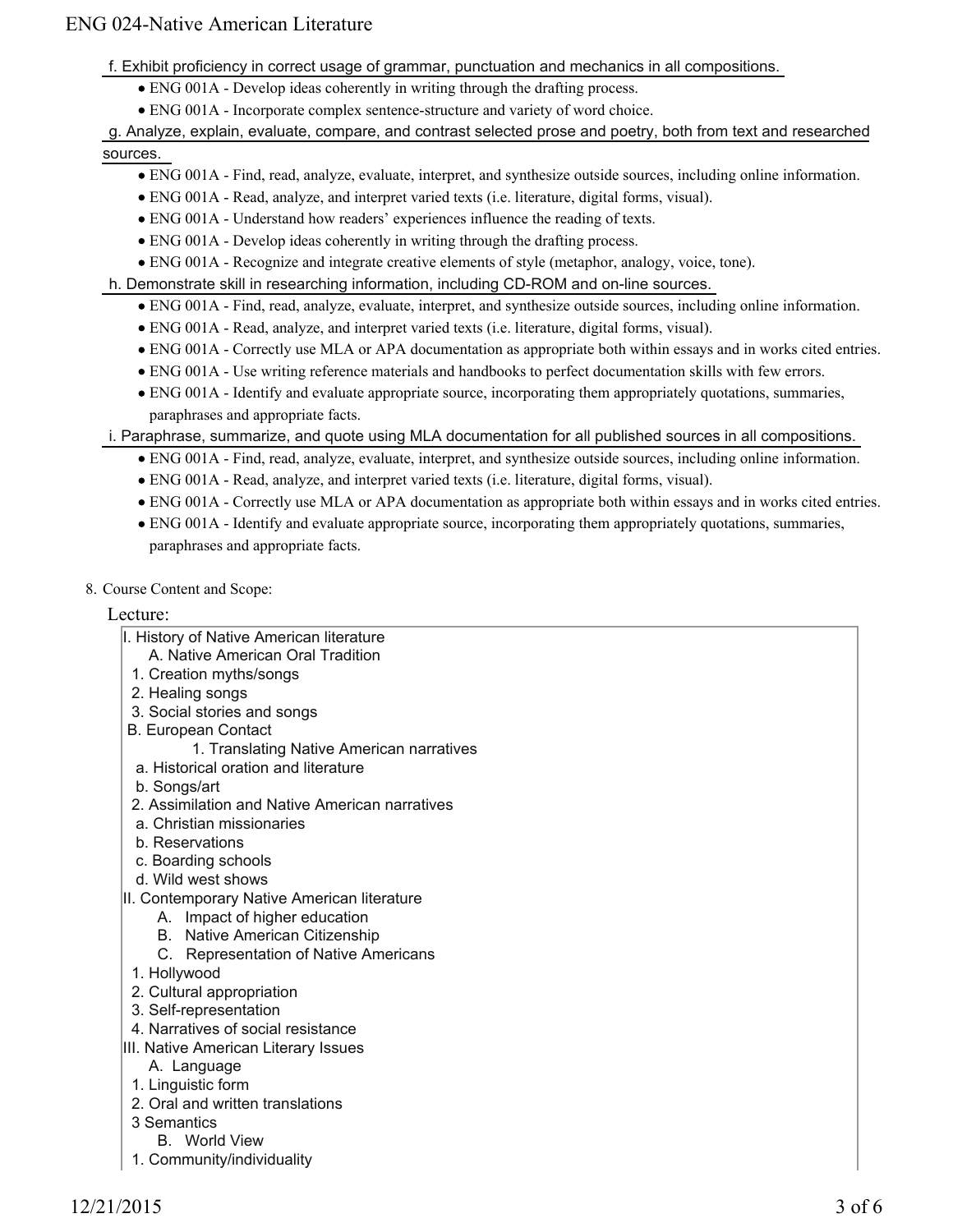f. Exhibit proficiency in correct usage of grammar, punctuation and mechanics in all compositions.

- ENG 001A Develop ideas coherently in writing through the drafting process.
- ENG 001A Incorporate complex sentence-structure and variety of word choice.

```
g. Analyze, explain, evaluate, compare, and contrast selected prose and poetry, both from text and researched
```
#### sources.

- ENG 001A Find, read, analyze, evaluate, interpret, and synthesize outside sources, including online information.
- ENG 001A Read, analyze, and interpret varied texts (i.e. literature, digital forms, visual).
- ENG 001A Understand how readers' experiences influence the reading of texts.
- ENG 001A Develop ideas coherently in writing through the drafting process.
- ENG 001A Recognize and integrate creative elements of style (metaphor, analogy, voice, tone).

#### h. Demonstrate skill in researching information, including CD-ROM and on-line sources.

- ENG 001A Find, read, analyze, evaluate, interpret, and synthesize outside sources, including online information.
- ENG 001A Read, analyze, and interpret varied texts (i.e. literature, digital forms, visual).
- ENG 001A Correctly use MLA or APA documentation as appropriate both within essays and in works cited entries.
- ENG 001A Use writing reference materials and handbooks to perfect documentation skills with few errors.
- ENG 001A Identify and evaluate appropriate source, incorporating them appropriately quotations, summaries, paraphrases and appropriate facts.

#### i. Paraphrase, summarize, and quote using MLA documentation for all published sources in all compositions.

- ENG 001A Find, read, analyze, evaluate, interpret, and synthesize outside sources, including online information.
- ENG 001A Read, analyze, and interpret varied texts (i.e. literature, digital forms, visual).
- ENG 001A Correctly use MLA or APA documentation as appropriate both within essays and in works cited entries.
- ENG 001A Identify and evaluate appropriate source, incorporating them appropriately quotations, summaries, paraphrases and appropriate facts.
- 8. Course Content and Scope:

#### Lecture:

- I. History of Native American literature
	- A. Native American Oral Tradition
- 1. Creation myths/songs
- 2. Healing songs
- 3. Social stories and songs
- B. European Contact
	- 1. Translating Native American narratives
- a. Historical oration and literature
- b. Songs/art
- 2. Assimilation and Native American narratives
- a. Christian missionaries
- b. Reservations
- c. Boarding schools
- d. Wild west shows
- II. Contemporary Native American literature
	- A. Impact of higher education
	- B. Native American Citizenship
	- C. Representation of Native Americans
- 1. Hollywood
- 2. Cultural appropriation
- 3. Self-representation
- 4. Narratives of social resistance
- III. Native American Literary Issues
	- A. Language
- 1. Linguistic form
- 2. Oral and written translations
- 3 Semantics
	- B. World View
- 1. Community/individuality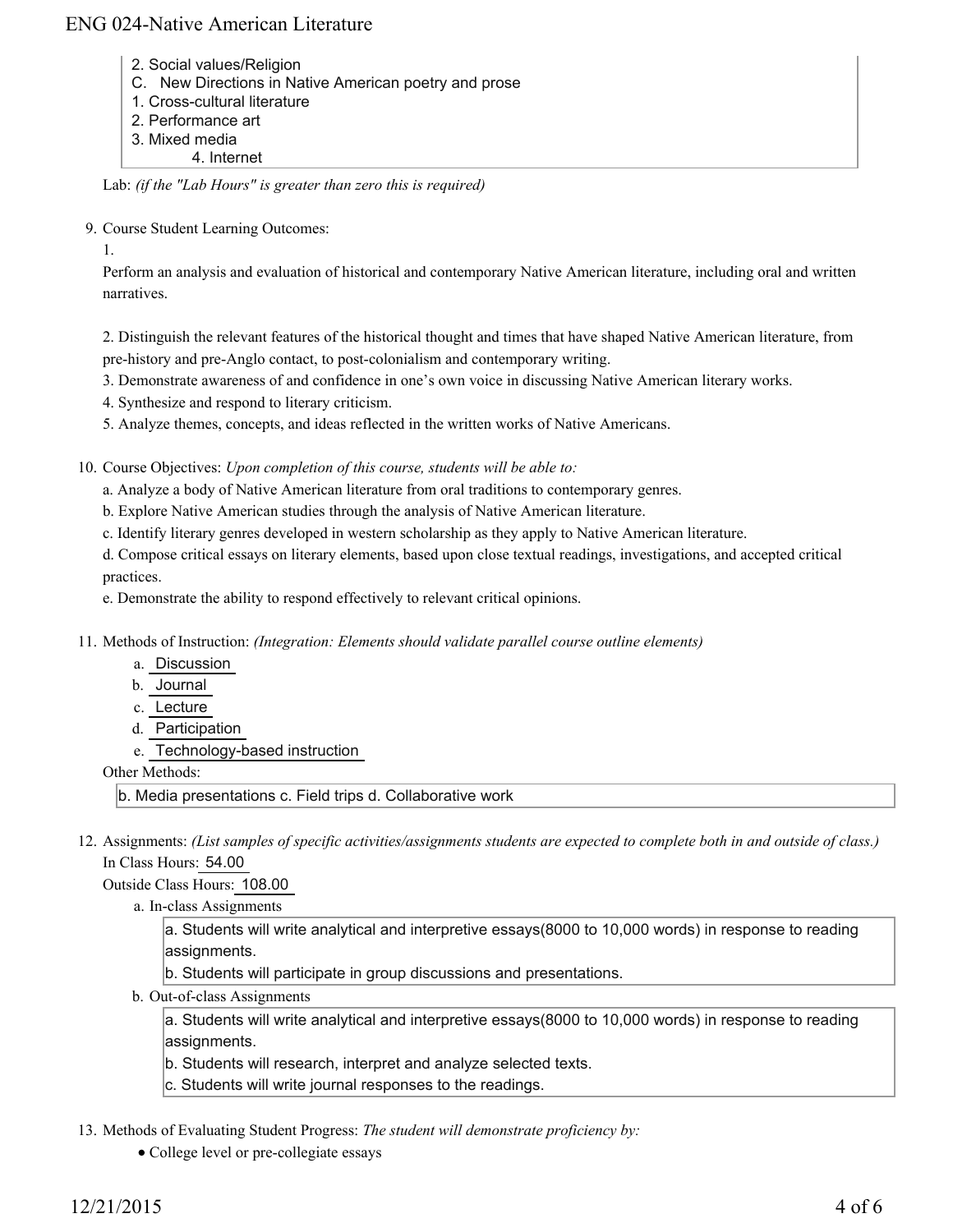- 2. Social values/Religion
- C. New Directions in Native American poetry and prose
- 1. Cross-cultural literature
- 2. Performance art
- 3. Mixed media
	- 4. Internet

Lab: *(if the "Lab Hours" is greater than zero this is required)*

9. Course Student Learning Outcomes:

1.

Perform an analysis and evaluation of historical and contemporary Native American literature, including oral and written narratives.

2. Distinguish the relevant features of the historical thought and times that have shaped Native American literature, from pre-history and pre-Anglo contact, to post-colonialism and contemporary writing.

- 3. Demonstrate awareness of and confidence in one's own voice in discussing Native American literary works.
- 4. Synthesize and respond to literary criticism.
- 5. Analyze themes, concepts, and ideas reflected in the written works of Native Americans.

10. Course Objectives: Upon completion of this course, students will be able to:

a. Analyze a body of Native American literature from oral traditions to contemporary genres.

b. Explore Native American studies through the analysis of Native American literature.

c. Identify literary genres developed in western scholarship as they apply to Native American literature.

d. Compose critical essays on literary elements, based upon close textual readings, investigations, and accepted critical practices.

e. Demonstrate the ability to respond effectively to relevant critical opinions.

Methods of Instruction: *(Integration: Elements should validate parallel course outline elements)* 11.

- a. Discussion
- b. Journal
- c. Lecture
- d. Participation
- e. Technology-based instruction

Other Methods:

b. Media presentations c. Field trips d. Collaborative work

12. Assignments: (List samples of specific activities/assignments students are expected to complete both in and outside of class.) In Class Hours: 54.00

Outside Class Hours: 108.00

a. In-class Assignments

a. Students will write analytical and interpretive essays(8000 to 10,000 words) in response to reading assignments.

b. Students will participate in group discussions and presentations.

b. Out-of-class Assignments

a. Students will write analytical and interpretive essays(8000 to 10,000 words) in response to reading assignments.

b. Students will research, interpret and analyze selected texts.

- c. Students will write journal responses to the readings.
- 13. Methods of Evaluating Student Progress: The student will demonstrate proficiency by:
	- College level or pre-collegiate essays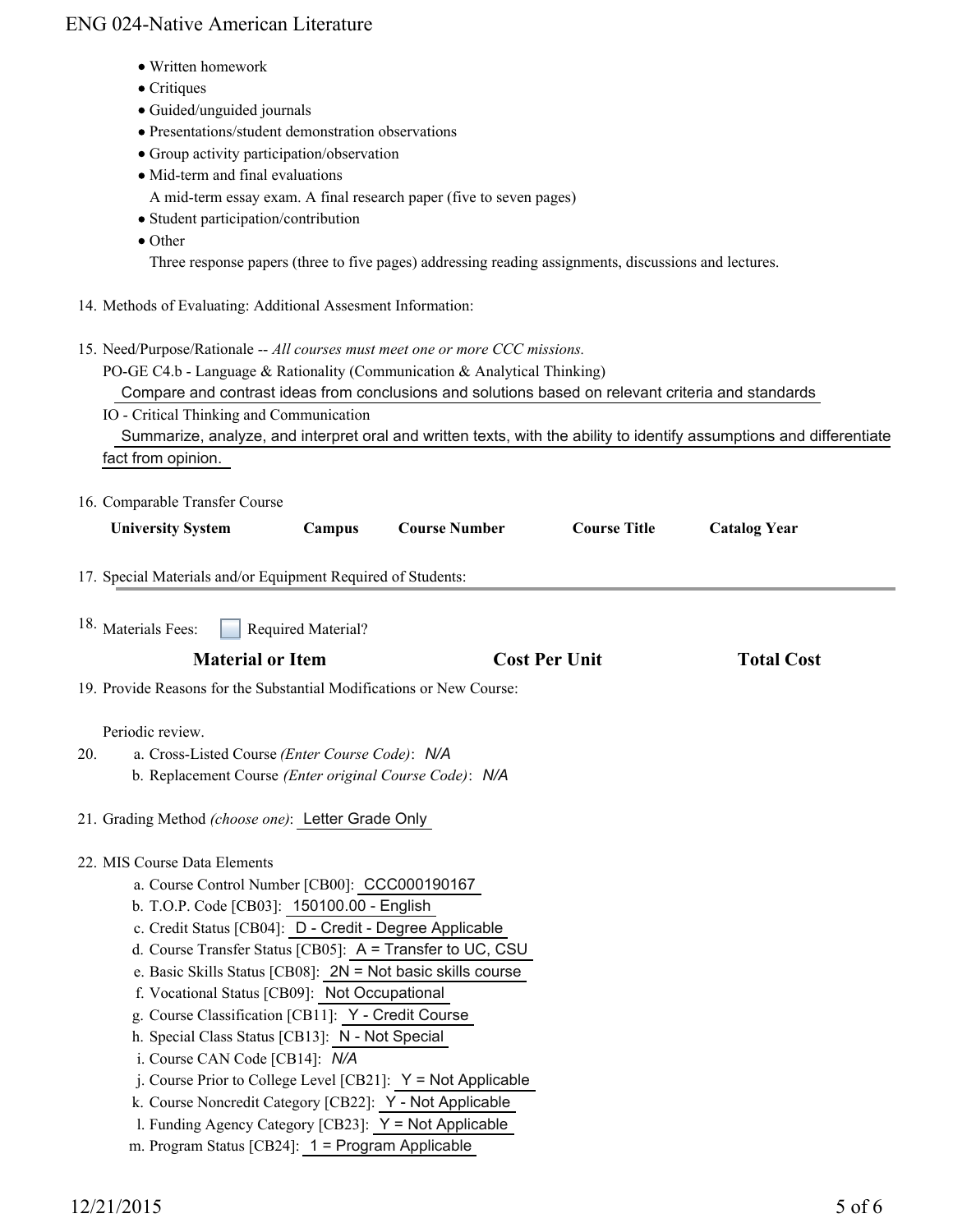- Written homework
- Critiques
- Guided/unguided journals
- Presentations/student demonstration observations
- Group activity participation/observation
- Mid-term and final evaluations
	- A mid-term essay exam. A final research paper (five to seven pages)
- Student participation/contribution
- Other

Three response papers (three to five pages) addressing reading assignments, discussions and lectures.

- 14. Methods of Evaluating: Additional Assesment Information:
- 15. Need/Purpose/Rationale -- All courses must meet one or more CCC missions. PO-GE C4.b - Language & Rationality (Communication & Analytical Thinking) Compare and contrast ideas from conclusions and solutions based on relevant criteria and standards IO - Critical Thinking and Communication Summarize, analyze, and interpret oral and written texts, with the ability to identify assumptions and differentiate fact from opinion.
- 16. Comparable Transfer Course **University System Campus Course Number Course Title Catalog Year** 17. Special Materials and/or Equipment Required of Students: Required Material? **Material or Item Cost Per Unit Total Cost Per Unit Total Cost Per Unit Accord Total Cost Accord Cost Per Unit** 18. Materials Fees: 19. Provide Reasons for the Substantial Modifications or New Course: Periodic review. a. Cross-Listed Course *(Enter Course Code)*: *N/A* b. Replacement Course *(Enter original Course Code)*: *N/A* 20. 21. Grading Method *(choose one)*: Letter Grade Only MIS Course Data Elements 22. a. Course Control Number [CB00]: CCC000190167 b. T.O.P. Code [CB03]: 150100.00 - English
	- c. Credit Status [CB04]: D Credit Degree Applicable
	- d. Course Transfer Status [CB05]: A = Transfer to UC, CSU
	- e. Basic Skills Status [CB08]: 2N = Not basic skills course
	- f. Vocational Status [CB09]: Not Occupational
	- g. Course Classification [CB11]: Y Credit Course
	- h. Special Class Status [CB13]: N Not Special
	- i. Course CAN Code [CB14]: *N/A*
	- $i$ . Course Prior to College Level [CB21]:  $Y = Not$  Applicable
	- k. Course Noncredit Category [CB22]: Y Not Applicable
	- l. Funding Agency Category [CB23]: Y = Not Applicable
	- m. Program Status [CB24]: 1 = Program Applicable